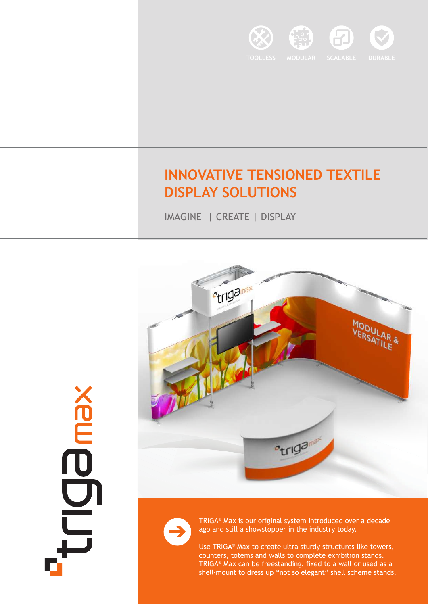

## **INNOVATIVE TENSIONED TEXTILE DISPLAY SOLUTIONS**

IMAGINE | CREATE | DISPLAY





**SODDIT** 

TRIGA® Max is our original system introduced over a decade ago and still a showstopper in the industry today.

Use TRIGA® Max to create ultra sturdy structures like towers, counters, totems and walls to complete exhibition stands. TRIGA® Max can be freestanding, fixed to a wall or used as a shell-mount to dress up "not so elegant" shell scheme stands.